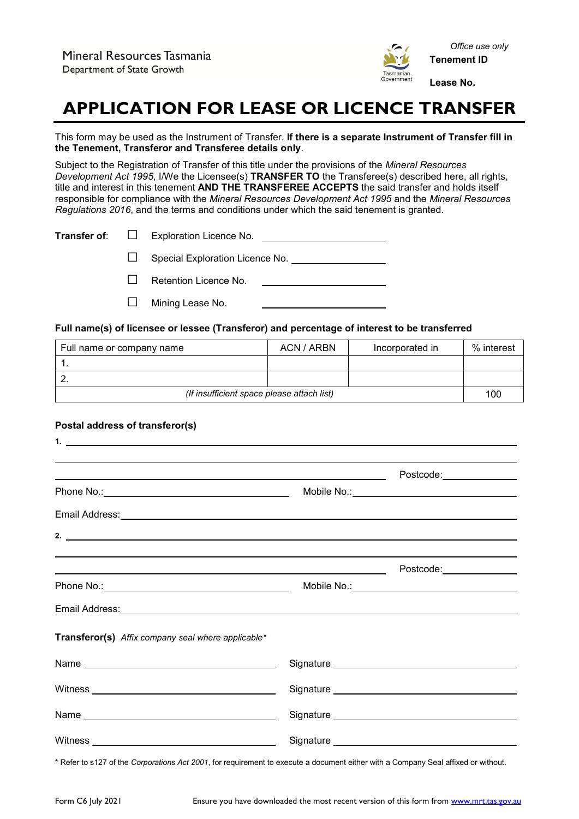

# **APPLICATION FOR LEASE OR LICENCE TRANSFER**

This form may be used as the Instrument of Transfer. **If there is a separate Instrument of Transfer fill in the Tenement, Transferor and Transferee details only**.

Subject to the Registration of Transfer of this title under the provisions of the *Mineral Resources Development Act 1995*, I/We the Licensee(s) **TRANSFER TO** the Transferee(s) described here, all rights, title and interest in this tenement **AND THE TRANSFEREE ACCEPTS** the said transfer and holds itself responsible for compliance with the *Mineral Resources Development Act 1995* and the *Mineral Resources Regulations 2016*, and the terms and conditions under which the said tenement is granted.

|  | <b>Transfer of:</b> $\Box$ Exploration Licence No. |
|--|----------------------------------------------------|
|  | $\Box$ Special Exploration Licence No.             |

□ Retention Licence No.

□ Mining Lease No.

## **Full name(s) of licensee or lessee (Transferor) and percentage of interest to be transferred**

| Full name or company name                  | ACN / ARBN | Incorporated in | % interest |
|--------------------------------------------|------------|-----------------|------------|
|                                            |            |                 |            |
|                                            |            |                 |            |
| (If insufficient space please attach list) |            |                 | 100        |

## **Postal address of transferor(s)**

| $1.$ $\overline{\phantom{a}}$                                                                                                                                                                                                       |                                                                                                                                                                                                                                |
|-------------------------------------------------------------------------------------------------------------------------------------------------------------------------------------------------------------------------------------|--------------------------------------------------------------------------------------------------------------------------------------------------------------------------------------------------------------------------------|
|                                                                                                                                                                                                                                     |                                                                                                                                                                                                                                |
|                                                                                                                                                                                                                                     |                                                                                                                                                                                                                                |
|                                                                                                                                                                                                                                     |                                                                                                                                                                                                                                |
| 2. $\overline{\phantom{a}}$                                                                                                                                                                                                         |                                                                                                                                                                                                                                |
| <u> 1989 - Johann Stein, marwolaethau a bhann an t-Amhair an t-Amhair an t-Amhair an t-Amhair an t-Amhair an t-A</u>                                                                                                                |                                                                                                                                                                                                                                |
|                                                                                                                                                                                                                                     |                                                                                                                                                                                                                                |
| Email Address: <u>Communications</u> Constant Constant Constant Constant Constant Constant Constant Constant Constant Constant Constant Constant Constant Constant Constant Constant Constant Constant Constant Constant Constant C |                                                                                                                                                                                                                                |
| Transferor(s) Affix company seal where applicable*                                                                                                                                                                                  |                                                                                                                                                                                                                                |
| Name                                                                                                                                                                                                                                |                                                                                                                                                                                                                                |
|                                                                                                                                                                                                                                     |                                                                                                                                                                                                                                |
| Name and the state of the state of the state of the state of the state of the state of the state of the state of the state of the state of the state of the state of the state of the state of the state of the state of the s      | Signature Signature Signature Signature Signature Signature Signature Signature Signature Signature Signature Signature Signature Signature Signature Signature Signature Signature Signature Signature Signature Signature Si |
|                                                                                                                                                                                                                                     | Signature Signature Signature Signature Signature Signature Signature Signature Signature Signature Signature Signature Signature Signature Signature Signature Signature Signature Signature Signature Signature Signature Si |

\* Refer to s127 of the *Corporations Act 2001*, for requirement to execute a document either with a Company Seal affixed or without.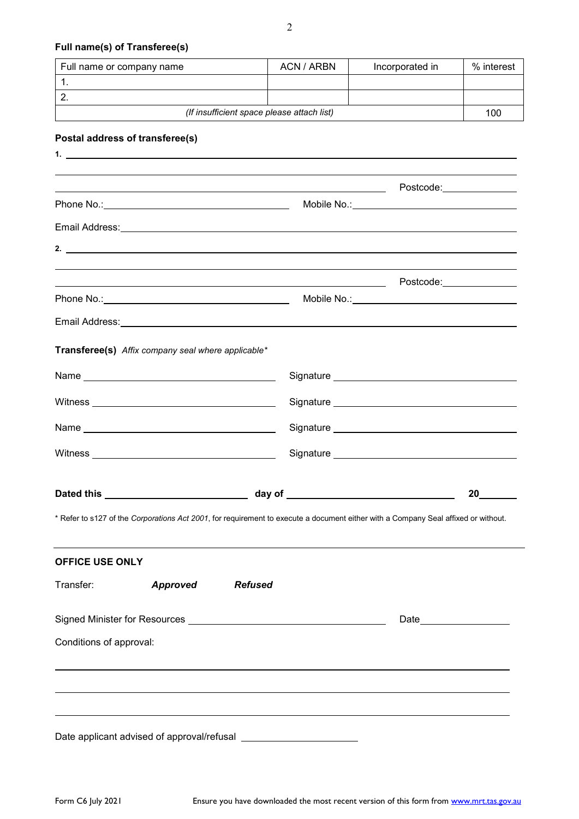## **Full name(s) of Transferee(s)**

# **Postal address of transferee(s)**

|                         |                                                                                                                      | <u> 1989 - Johann Stein, marwolaethau a bhann an t-Amhair ann an t-Amhair an t-Amhair an t-Amhair an t-Amhair an</u> | Postcode:_______________                                                                                                                                                                                                       |  |
|-------------------------|----------------------------------------------------------------------------------------------------------------------|----------------------------------------------------------------------------------------------------------------------|--------------------------------------------------------------------------------------------------------------------------------------------------------------------------------------------------------------------------------|--|
|                         |                                                                                                                      |                                                                                                                      | Mobile No.:___________________________________                                                                                                                                                                                 |  |
|                         |                                                                                                                      |                                                                                                                      |                                                                                                                                                                                                                                |  |
|                         |                                                                                                                      |                                                                                                                      |                                                                                                                                                                                                                                |  |
|                         |                                                                                                                      |                                                                                                                      |                                                                                                                                                                                                                                |  |
|                         | <u> 1980 - Jan Samuel Barbara, martin da shekarar 1980 - André a Santa Barbara, marka a shekara 1980 - André a S</u> |                                                                                                                      | Postcode:_______________                                                                                                                                                                                                       |  |
|                         |                                                                                                                      |                                                                                                                      | Mobile No.: ___________________________________                                                                                                                                                                                |  |
|                         |                                                                                                                      |                                                                                                                      | Email Address: Lawrence and Contract and Contract and Contract and Contract and Contract and Contract and Contract and Contract and Contract and Contract and Contract and Contract and Contract and Contract and Contract and |  |
|                         | Transferee(s) Affix company seal where applicable*                                                                   |                                                                                                                      |                                                                                                                                                                                                                                |  |
|                         |                                                                                                                      |                                                                                                                      |                                                                                                                                                                                                                                |  |
|                         |                                                                                                                      |                                                                                                                      |                                                                                                                                                                                                                                |  |
|                         |                                                                                                                      |                                                                                                                      |                                                                                                                                                                                                                                |  |
|                         |                                                                                                                      |                                                                                                                      |                                                                                                                                                                                                                                |  |
|                         |                                                                                                                      |                                                                                                                      |                                                                                                                                                                                                                                |  |
|                         |                                                                                                                      |                                                                                                                      |                                                                                                                                                                                                                                |  |
|                         |                                                                                                                      |                                                                                                                      |                                                                                                                                                                                                                                |  |
|                         |                                                                                                                      |                                                                                                                      | * Refer to s127 of the Corporations Act 2001, for requirement to execute a document either with a Company Seal affixed or without.                                                                                             |  |
|                         |                                                                                                                      |                                                                                                                      |                                                                                                                                                                                                                                |  |
|                         |                                                                                                                      |                                                                                                                      |                                                                                                                                                                                                                                |  |
| <b>OFFICE USE ONLY</b>  |                                                                                                                      |                                                                                                                      |                                                                                                                                                                                                                                |  |
|                         | Transfer: <b>Approved</b> Refused                                                                                    |                                                                                                                      |                                                                                                                                                                                                                                |  |
|                         |                                                                                                                      |                                                                                                                      |                                                                                                                                                                                                                                |  |
|                         |                                                                                                                      |                                                                                                                      |                                                                                                                                                                                                                                |  |
| Conditions of approval: |                                                                                                                      |                                                                                                                      |                                                                                                                                                                                                                                |  |
|                         |                                                                                                                      |                                                                                                                      |                                                                                                                                                                                                                                |  |
|                         |                                                                                                                      |                                                                                                                      |                                                                                                                                                                                                                                |  |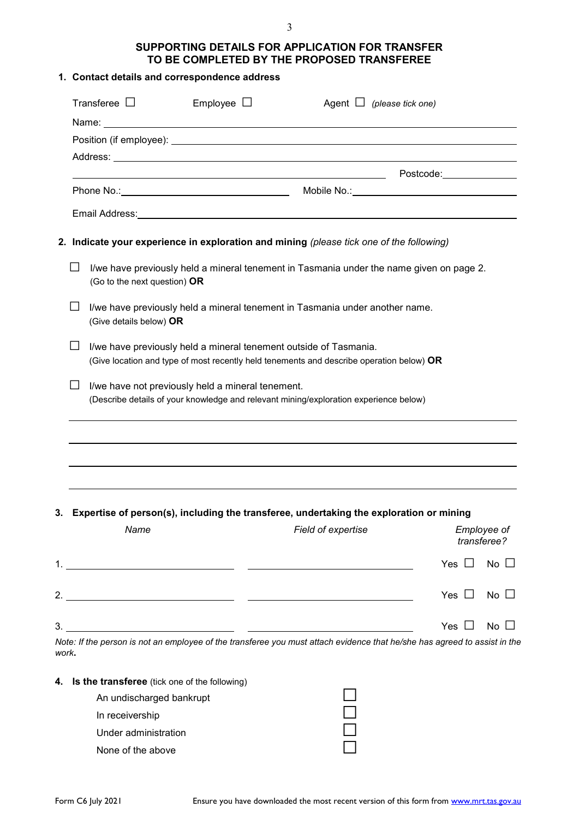# **SUPPORTING DETAILS FOR APPLICATION FOR TRANSFER TO BE COMPLETED BY THE PROPOSED TRANSFEREE**

## **1. Contact details and correspondence address**

|       |              | Transferee $\Box$                             | Employee $\Box$                                                   | Agent $\Box$ (please tick one)                                                                                                                                                                                                 |                           |
|-------|--------------|-----------------------------------------------|-------------------------------------------------------------------|--------------------------------------------------------------------------------------------------------------------------------------------------------------------------------------------------------------------------------|---------------------------|
|       |              |                                               |                                                                   |                                                                                                                                                                                                                                |                           |
|       |              |                                               |                                                                   |                                                                                                                                                                                                                                |                           |
|       |              |                                               |                                                                   |                                                                                                                                                                                                                                |                           |
|       |              |                                               |                                                                   |                                                                                                                                                                                                                                |                           |
|       |              |                                               |                                                                   |                                                                                                                                                                                                                                |                           |
|       |              |                                               |                                                                   | Email Address: Universe of the Contract of the Contract of the Contract of the Contract of the Contract of the Contract of the Contract of the Contract of the Contract of the Contract of the Contract of the Contract of the |                           |
|       |              |                                               |                                                                   | 2. Indicate your experience in exploration and mining (please tick one of the following)                                                                                                                                       |                           |
|       | $\mathsf{L}$ | (Go to the next question) OR                  |                                                                   | I/we have previously held a mineral tenement in Tasmania under the name given on page 2.                                                                                                                                       |                           |
|       |              | (Give details below) OR                       |                                                                   | I/we have previously held a mineral tenement in Tasmania under another name.                                                                                                                                                   |                           |
|       |              |                                               | I/we have previously held a mineral tenement outside of Tasmania. | (Give location and type of most recently held tenements and describe operation below) OR                                                                                                                                       |                           |
|       |              |                                               | I/we have not previously held a mineral tenement.                 | (Describe details of your knowledge and relevant mining/exploration experience below)                                                                                                                                          |                           |
|       |              |                                               |                                                                   |                                                                                                                                                                                                                                |                           |
|       |              |                                               |                                                                   |                                                                                                                                                                                                                                |                           |
|       |              |                                               |                                                                   |                                                                                                                                                                                                                                |                           |
|       |              |                                               |                                                                   |                                                                                                                                                                                                                                |                           |
|       |              |                                               |                                                                   | 3. Expertise of person(s), including the transferee, undertaking the exploration or mining                                                                                                                                     |                           |
|       |              | Name                                          |                                                                   | Field of expertise                                                                                                                                                                                                             | Employee of               |
|       |              |                                               |                                                                   |                                                                                                                                                                                                                                | transferee?               |
|       |              |                                               |                                                                   |                                                                                                                                                                                                                                | Yes $\Box$<br>No $\Box$   |
|       |              |                                               |                                                                   |                                                                                                                                                                                                                                |                           |
|       |              |                                               |                                                                   |                                                                                                                                                                                                                                | Yes $\Box$<br>$No \ \Box$ |
| 3.    |              |                                               |                                                                   |                                                                                                                                                                                                                                | Yes $\Box$<br>$No \ \Box$ |
|       |              |                                               |                                                                   | Note: If the person is not an employee of the transferee you must attach evidence that he/she has agreed to assist in the                                                                                                      |                           |
| work. |              |                                               |                                                                   |                                                                                                                                                                                                                                |                           |
| 4.    |              | Is the transferee (tick one of the following) |                                                                   |                                                                                                                                                                                                                                |                           |
|       |              | An undischarged bankrupt                      |                                                                   |                                                                                                                                                                                                                                |                           |
|       |              | In receivership                               |                                                                   |                                                                                                                                                                                                                                |                           |
|       |              | Under administration                          |                                                                   |                                                                                                                                                                                                                                |                           |
|       |              | None of the above                             |                                                                   |                                                                                                                                                                                                                                |                           |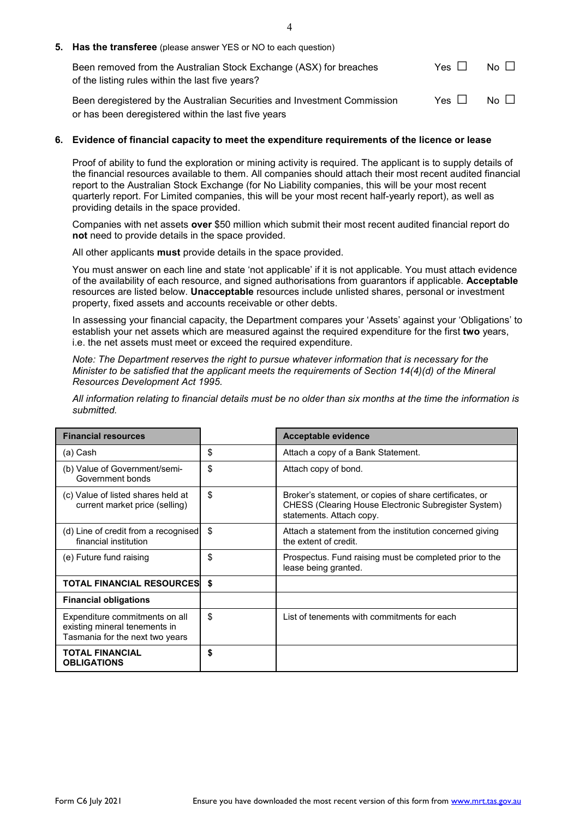| <b>5. Has the transferee</b> (please answer YES or NO to each question)                                                         |            |              |
|---------------------------------------------------------------------------------------------------------------------------------|------------|--------------|
| Been removed from the Australian Stock Exchange (ASX) for breaches<br>of the listing rules within the last five years?          | Yes II     | $No$ $\Box$  |
| Been deregistered by the Australian Securities and Investment Commission<br>or has been deregistered within the last five years | Yes $\Box$ | $N_O$ $\Box$ |

### **6. Evidence of financial capacity to meet the expenditure requirements of the licence or lease**

Proof of ability to fund the exploration or mining activity is required. The applicant is to supply details of the financial resources available to them. All companies should attach their most recent audited financial report to the Australian Stock Exchange (for No Liability companies, this will be your most recent quarterly report. For Limited companies, this will be your most recent half-yearly report), as well as providing details in the space provided.

Companies with net assets **over** \$50 million which submit their most recent audited financial report do **not** need to provide details in the space provided.

All other applicants **must** provide details in the space provided.

You must answer on each line and state 'not applicable' if it is not applicable. You must attach evidence of the availability of each resource, and signed authorisations from guarantors if applicable. **Acceptable** resources are listed below. **Unacceptable** resources include unlisted shares, personal or investment property, fixed assets and accounts receivable or other debts.

In assessing your financial capacity, the Department compares your 'Assets' against your 'Obligations' to establish your net assets which are measured against the required expenditure for the first **two** years, i.e. the net assets must meet or exceed the required expenditure.

*Note: The Department reserves the right to pursue whatever information that is necessary for the Minister to be satisfied that the applicant meets the requirements of Section 14(4)(d) of the Mineral Resources Development Act 1995.*

*All information relating to financial details must be no older than six months at the time the information is submitted.* 

| <b>Financial resources</b>                                                                         | <b>Acceptable evidence</b>                                                                                                                        |
|----------------------------------------------------------------------------------------------------|---------------------------------------------------------------------------------------------------------------------------------------------------|
| (a) Cash                                                                                           | \$<br>Attach a copy of a Bank Statement.                                                                                                          |
| (b) Value of Government/semi-<br>Government bonds                                                  | \$<br>Attach copy of bond.                                                                                                                        |
| (c) Value of listed shares held at<br>current market price (selling)                               | \$<br>Broker's statement, or copies of share certificates, or<br>CHESS (Clearing House Electronic Subregister System)<br>statements. Attach copy. |
| (d) Line of credit from a recognised<br>financial institution                                      | \$<br>Attach a statement from the institution concerned giving<br>the extent of credit.                                                           |
| (e) Future fund raising                                                                            | \$<br>Prospectus. Fund raising must be completed prior to the<br>lease being granted.                                                             |
| <b>TOTAL FINANCIAL RESOURCES   \$</b>                                                              |                                                                                                                                                   |
| <b>Financial obligations</b>                                                                       |                                                                                                                                                   |
| Expenditure commitments on all<br>existing mineral tenements in<br>Tasmania for the next two years | \$<br>List of tenements with commitments for each                                                                                                 |
| <b>TOTAL FINANCIAL</b><br><b>OBLIGATIONS</b>                                                       | \$                                                                                                                                                |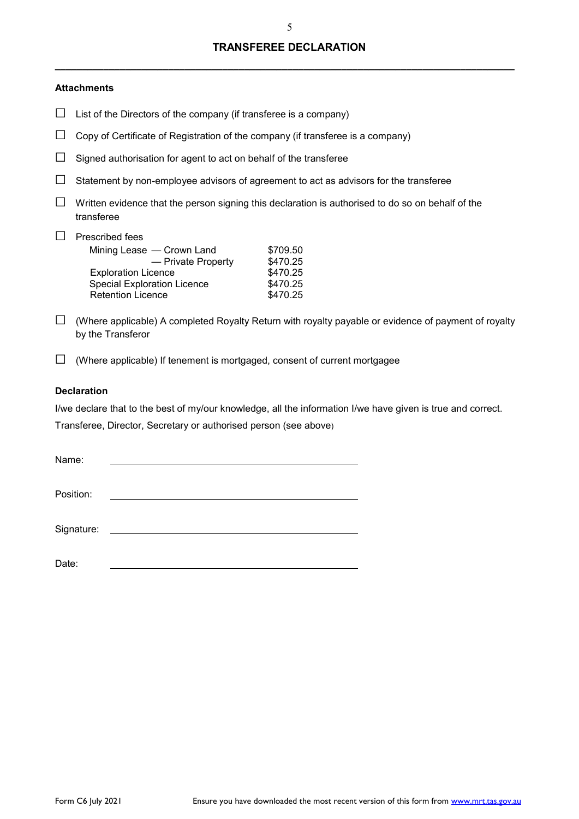# **TRANSFEREE DECLARATION**

**\_\_\_\_\_\_\_\_\_\_\_\_\_\_\_\_\_\_\_\_\_\_\_\_\_\_\_\_\_\_\_\_\_\_\_\_\_\_\_\_\_\_\_\_\_\_\_\_\_\_\_\_\_\_\_\_\_\_\_\_\_\_\_\_\_\_\_\_\_\_\_\_\_\_\_\_\_\_\_\_\_\_\_\_\_**

#### **Attachments**

- $\Box$  List of the Directors of the company (if transferee is a company)
- $\Box$  Copy of Certificate of Registration of the company (if transferee is a company)
- $\Box$  Signed authorisation for agent to act on behalf of the transferee
- $\Box$  Statement by non-employee advisors of agreement to act as advisors for the transferee
- $\Box$  Written evidence that the person signing this declaration is authorised to do so on behalf of the transferee

# □ Prescribed fees<br>Mining Lease

| Mining Lease — Crown Land          | \$709.50 |
|------------------------------------|----------|
| - Private Property                 | \$470.25 |
| <b>Exploration Licence</b>         | \$470.25 |
| <b>Special Exploration Licence</b> | \$470.25 |
| <b>Retention Licence</b>           | \$470.25 |

- $\square$  (Where applicable) A completed Royalty Return with royalty payable or evidence of payment of royalty by the Transferor
- $\square$  (Where applicable) If tenement is mortgaged, consent of current mortgagee

## **Declaration**

I/we declare that to the best of my/our knowledge, all the information I/we have given is true and correct. Transferee, Director, Secretary or authorised person (see above)

Date: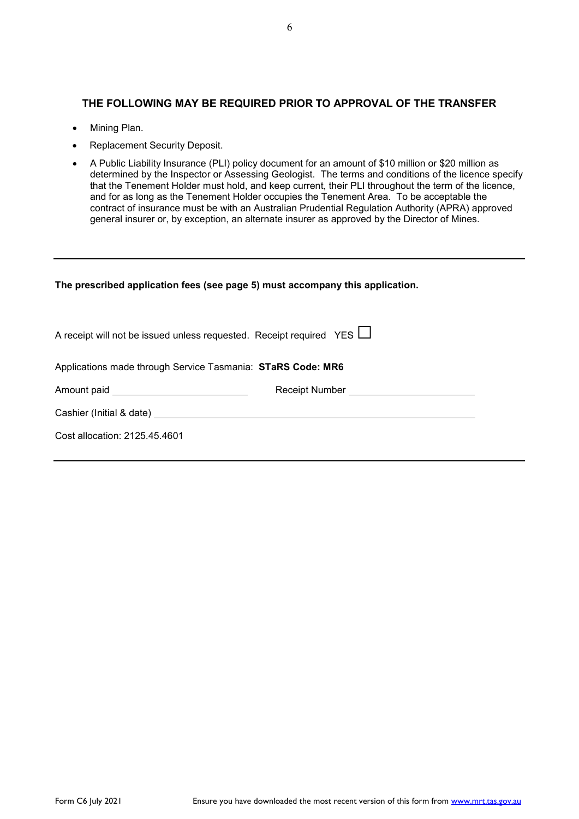# **THE FOLLOWING MAY BE REQUIRED PRIOR TO APPROVAL OF THE TRANSFER**

- Mining Plan.
- Replacement Security Deposit.
- A Public Liability Insurance (PLI) policy document for an amount of \$10 million or \$20 million as determined by the Inspector or Assessing Geologist. The terms and conditions of the licence specify that the Tenement Holder must hold, and keep current, their PLI throughout the term of the licence, and for as long as the Tenement Holder occupies the Tenement Area. To be acceptable the contract of insurance must be with an Australian Prudential Regulation Authority (APRA) approved general insurer or, by exception, an alternate insurer as approved by the Director of Mines.

| The prescribed application fees (see page 5) must accompany this application.                                                                                                                                                        |                                     |  |  |  |
|--------------------------------------------------------------------------------------------------------------------------------------------------------------------------------------------------------------------------------------|-------------------------------------|--|--|--|
| A receipt will not be issued unless requested. Receipt required YES $\Box$                                                                                                                                                           |                                     |  |  |  |
| Applications made through Service Tasmania: STaRS Code: MR6                                                                                                                                                                          |                                     |  |  |  |
| Amount paid ________________________________                                                                                                                                                                                         | Receipt Number ____________________ |  |  |  |
| Cashier (Initial & date) <u>contains and the contract of the contract of the contract of the contract of the contract of the contract of the contract of the contract of the contract of the contract of the contract of the con</u> |                                     |  |  |  |
| Cost allocation: 2125.45.4601                                                                                                                                                                                                        |                                     |  |  |  |